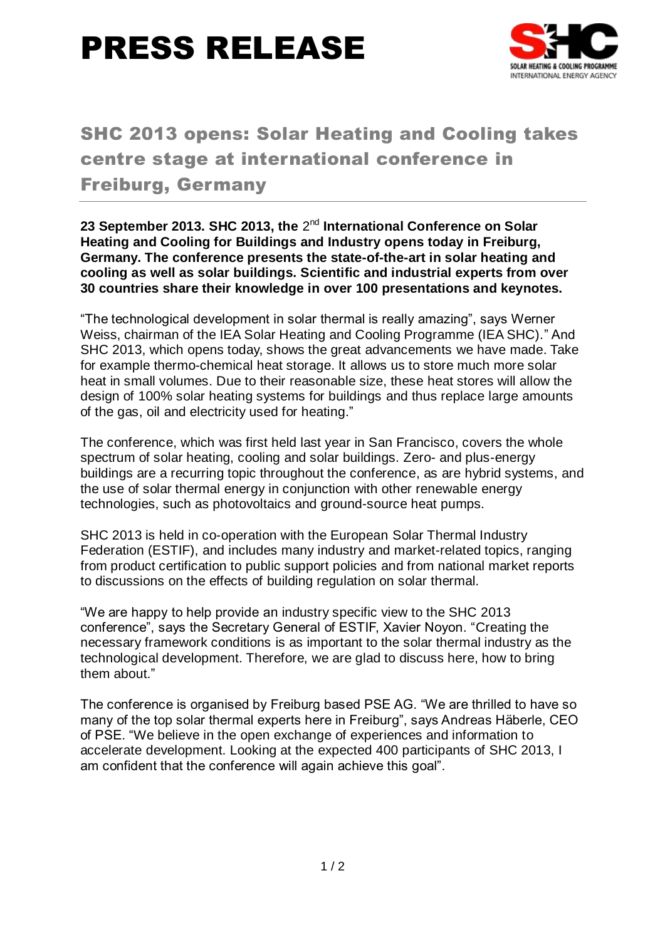# PRESS RELEASE



### SHC 2013 opens: Solar Heating and Cooling takes centre stage at international conference in Freiburg, Germany

23 September 2013. SHC 2013, the 2<sup>nd</sup> International Conference on Solar **Heating and Cooling for Buildings and Industry opens today in Freiburg, Germany. The conference presents the state-of-the-art in solar heating and cooling as well as solar buildings. Scientific and industrial experts from over 30 countries share their knowledge in over 100 presentations and keynotes.**

"The technological development in solar thermal is really amazing", says Werner Weiss, chairman of the IEA Solar Heating and Cooling Programme (IEA SHC)." And SHC 2013, which opens today, shows the great advancements we have made. Take for example thermo-chemical heat storage. It allows us to store much more solar heat in small volumes. Due to their reasonable size, these heat stores will allow the design of 100% solar heating systems for buildings and thus replace large amounts of the gas, oil and electricity used for heating."

The conference, which was first held last year in San Francisco, covers the whole spectrum of solar heating, cooling and solar buildings. Zero- and plus-energy buildings are a recurring topic throughout the conference, as are hybrid systems, and the use of solar thermal energy in conjunction with other renewable energy technologies, such as photovoltaics and ground-source heat pumps.

SHC 2013 is held in co-operation with the European Solar Thermal Industry Federation (ESTIF), and includes many industry and market-related topics, ranging from product certification to public support policies and from national market reports to discussions on the effects of building regulation on solar thermal.

"We are happy to help provide an industry specific view to the SHC 2013 conference", says the Secretary General of ESTIF, Xavier Noyon. "Creating the necessary framework conditions is as important to the solar thermal industry as the technological development. Therefore, we are glad to discuss here, how to bring them about."

The conference is organised by Freiburg based PSE AG. "We are thrilled to have so many of the top solar thermal experts here in Freiburg", says Andreas Häberle, CEO of PSE. "We believe in the open exchange of experiences and information to accelerate development. Looking at the expected 400 participants of SHC 2013, I am confident that the conference will again achieve this goal".